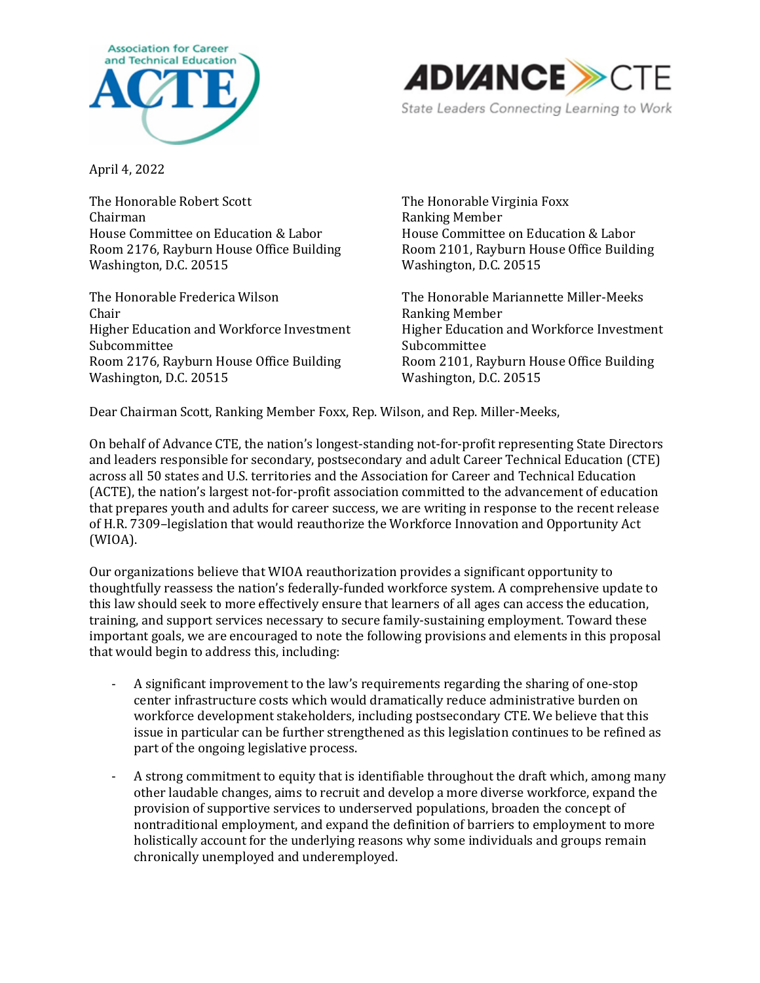



April 4, 2022

The Honorable Robert Scott Chairman House Committee on Education & Labor Room 2176, Rayburn House Office Building Washington, D.C. 20515

The Honorable Frederica Wilson Chair Higher Education and Workforce Investment Subcommittee Room 2176, Rayburn House Office Building Washington, D.C. 20515

The Honorable Virginia Foxx Ranking Member House Committee on Education & Labor Room 2101, Rayburn House Office Building Washington, D.C. 20515

The Honorable Mariannette Miller-Meeks Ranking Member Higher Education and Workforce Investment Subcommittee Room 2101, Rayburn House Office Building Washington, D.C. 20515

Dear Chairman Scott, Ranking Member Foxx, Rep. Wilson, and Rep. Miller-Meeks,

On behalf of Advance CTE, the nation's longest-standing not-for-profit representing State Directors and leaders responsible for secondary, postsecondary and adult Career Technical Education (CTE) across all 50 states and U.S. territories and the Association for Career and Technical Education (ACTE), the nation's largest not-for-profit association committed to the advancement of education that prepares youth and adults for career success, we are writing in response to the recent release of H.R. 7309–legislation that would reauthorize the Workforce Innovation and Opportunity Act (WIOA).

Our organizations believe that WIOA reauthorization provides a significant opportunity to thoughtfully reassess the nation's federally-funded workforce system. A comprehensive update to this law should seek to more effectively ensure that learners of all ages can access the education, training, and support services necessary to secure family-sustaining employment. Toward these important goals, we are encouraged to note the following provisions and elements in this proposal that would begin to address this, including:

- A significant improvement to the law's requirements regarding the sharing of one-stop center infrastructure costs which would dramatically reduce administrative burden on workforce development stakeholders, including postsecondary CTE. We believe that this issue in particular can be further strengthened as this legislation continues to be refined as part of the ongoing legislative process.
- A strong commitment to equity that is identifiable throughout the draft which, among many other laudable changes, aims to recruit and develop a more diverse workforce, expand the provision of supportive services to underserved populations, broaden the concept of nontraditional employment, and expand the definition of barriers to employment to more holistically account for the underlying reasons why some individuals and groups remain chronically unemployed and underemployed.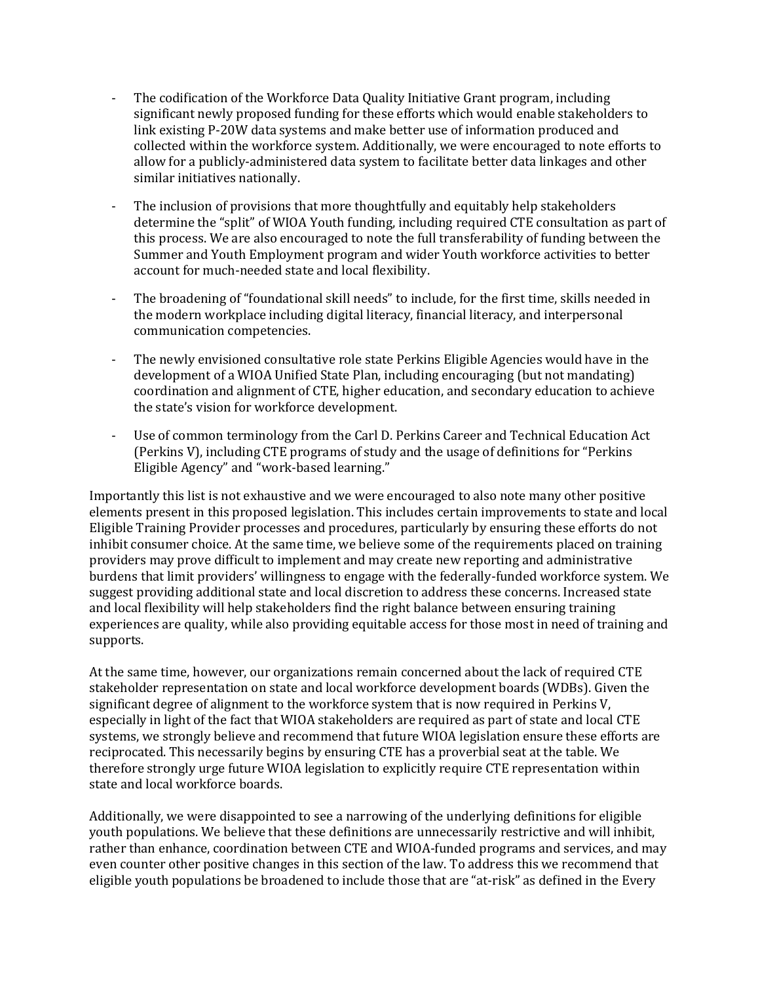- The codification of the Workforce Data Quality Initiative Grant program, including significant newly proposed funding for these efforts which would enable stakeholders to link existing P-20W data systems and make better use of information produced and collected within the workforce system. Additionally, we were encouraged to note efforts to allow for a publicly-administered data system to facilitate better data linkages and other similar initiatives nationally.
- The inclusion of provisions that more thoughtfully and equitably help stakeholders determine the "split" of WIOA Youth funding, including required CTE consultation as part of this process. We are also encouraged to note the full transferability of funding between the Summer and Youth Employment program and wider Youth workforce activities to better account for much-needed state and local flexibility.
- The broadening of "foundational skill needs" to include, for the first time, skills needed in the modern workplace including digital literacy, financial literacy, and interpersonal communication competencies.
- The newly envisioned consultative role state Perkins Eligible Agencies would have in the development of a WIOA Unified State Plan, including encouraging (but not mandating) coordination and alignment of CTE, higher education, and secondary education to achieve the state's vision for workforce development.
- Use of common terminology from the Carl D. Perkins Career and Technical Education Act (Perkins V), including CTE programs of study and the usage of definitions for "Perkins Eligible Agency" and "work-based learning."

Importantly this list is not exhaustive and we were encouraged to also note many other positive elements present in this proposed legislation. This includes certain improvements to state and local Eligible Training Provider processes and procedures, particularly by ensuring these efforts do not inhibit consumer choice. At the same time, we believe some of the requirements placed on training providers may prove difficult to implement and may create new reporting and administrative burdens that limit providers' willingness to engage with the federally-funded workforce system. We suggest providing additional state and local discretion to address these concerns. Increased state and local flexibility will help stakeholders find the right balance between ensuring training experiences are quality, while also providing equitable access for those most in need of training and supports.

At the same time, however, our organizations remain concerned about the lack of required CTE stakeholder representation on state and local workforce development boards (WDBs). Given the significant degree of alignment to the workforce system that is now required in Perkins V, especially in light of the fact that WIOA stakeholders are required as part of state and local CTE systems, we strongly believe and recommend that future WIOA legislation ensure these efforts are reciprocated. This necessarily begins by ensuring CTE has a proverbial seat at the table. We therefore strongly urge future WIOA legislation to explicitly require CTE representation within state and local workforce boards.

Additionally, we were disappointed to see a narrowing of the underlying definitions for eligible youth populations. We believe that these definitions are unnecessarily restrictive and will inhibit, rather than enhance, coordination between CTE and WIOA-funded programs and services, and may even counter other positive changes in this section of the law. To address this we recommend that eligible youth populations be broadened to include those that are "at-risk" as defined in the Every